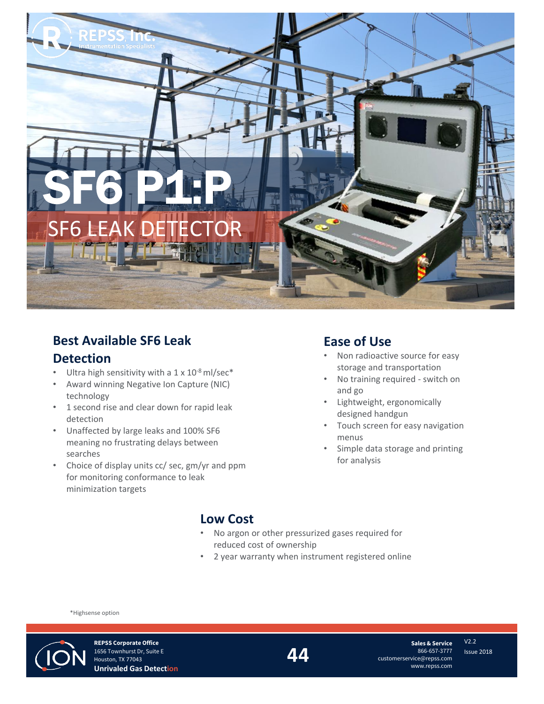

# **Best Available SF6 Leak Detection**

- Ultra high sensitivity with a  $1 \times 10^{-8}$  ml/sec\*
- Award winning Negative Ion Capture (NIC) technology
- 1 second rise and clear down for rapid leak detection
- Unaffected by large leaks and 100% SF6 meaning no frustrating delays between searches
- Choice of display units cc/ sec, gm/yr and ppm for monitoring conformance to leak minimization targets

# **Ease of Use**

- Non radioactive source for easy storage and transportation
- No training required switch on and go
- Lightweight, ergonomically designed handgun
- Touch screen for easy navigation menus
- Simple data storage and printing for analysis

# **Low Cost**

- No argon or other pressurized gases required for reduced cost of ownership
- 2 year warranty when instrument registered online

\*Highsense option



**REPSS Corporate Office** 1656 Townhurst Dr, Suite E Houston, TX 77043 **Unrivaled Gas Detection**

**44** Issue 2018<br>
Customerservice@repss.com<br>
WAAW *ISS* COMPUTED SCIPED IN THIS COMPUTED SCIPED IN THIS COMPUTED SCIPED IN THIS COMPUTED SCIPED IN THIS COMPUTED IN THIS COMPUTED IN THIS COMPUTED IN THIS COMPUTED IN THIS COM **Sales & Service** 866-657-3777 www.repss.com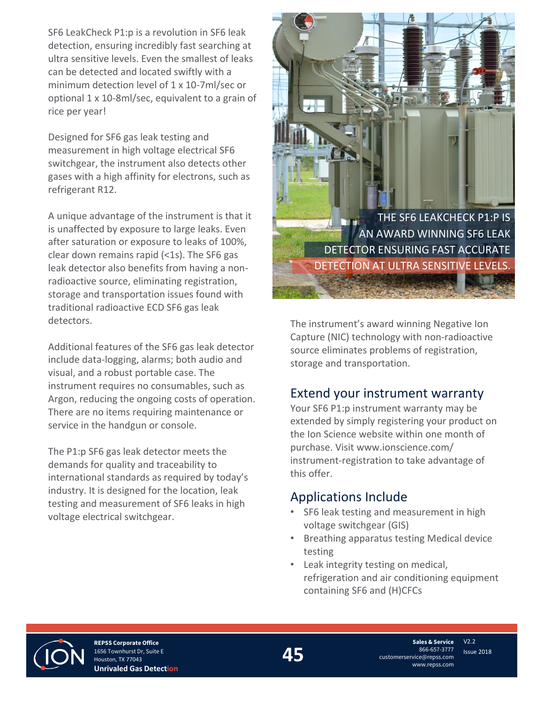SF6 LeakCheck P1:p is a revolution in SF6 leak detection, ensuring incredibly fast searching at ultra sensitive levels. Even the smallest of leaks can be detected and located swiftly with a minimum detection level of 1 x 10-7ml/sec or optional 1 x 10-8ml/sec, equivalent to a grain of rice per year!

Designed for SF6 gas leak testing and measurement in high voltage electrical SF6 switchgear, the instrument also detects other gases with a high affinity for electrons, such as refrigerant R12.

A unique advantage of the instrument is that it is unaffected by exposure to large leaks. Even after saturation or exposure to leaks of 100%, clear down remains rapid (<1s). The SF6 gas leak detector also benefits from having a nonradioactive source, eliminating registration, storage and transportation issues found with traditional radioactive ECD SF6 gas leak detectors.

Additional features of the SF6 gas leak detector include data-logging, alarms; both audio and visual, and a robust portable case. The instrument requires no consumables, such as Argon, reducing the ongoing costs of operation. There are no items requiring maintenance or service in the handgun or console.

The P1:p SF6 gas leak detector meets the demands for quality and traceability to international standards as required by today's industry. It is designed for the location, leak testing and measurement of SF6 leaks in high voltage electrical switchgear.



The instrument's award winning Negative Ion Capture (NIC) technology with non-radioactive source eliminates problems of registration, storage and transportation.

# Extend your instrument warranty

Your SF6 P1:p instrument warranty may be extended by simply registering your product on the Ion Science website within one month of purchase. Visit www.ionscience.com/ instrument-registration to take advantage of this offer.

# Applications Include

- SF6 leak testing and measurement in high voltage switchgear (GIS)
- Breathing apparatus testing Medical device testing
- Leak integrity testing on medical, refrigeration and air conditioning equipment containing SF6 and (H)CFCs



**REPSS Corporate Office** 1656 Townhurst Dr, Suite E Houston, TX 77043 **Unrivaled Gas Detection**